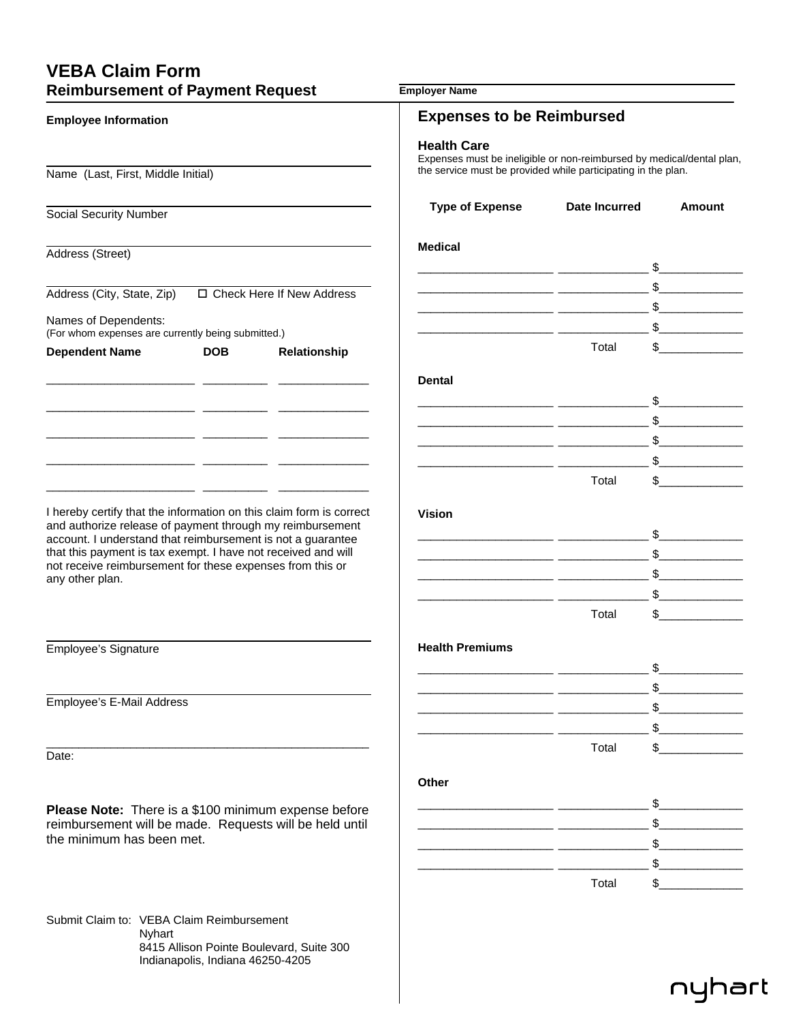## **VEBA Claim Form**

| <b>Reimbursement of Payment Request</b>                                                                                                                                                                                                                                   |            |              | <b>Employer Name</b>                                                                                                                                                                             |                                                                                                                                                  |                               |
|---------------------------------------------------------------------------------------------------------------------------------------------------------------------------------------------------------------------------------------------------------------------------|------------|--------------|--------------------------------------------------------------------------------------------------------------------------------------------------------------------------------------------------|--------------------------------------------------------------------------------------------------------------------------------------------------|-------------------------------|
| <b>Employee Information</b>                                                                                                                                                                                                                                               |            |              | <b>Expenses to be Reimbursed</b><br><b>Health Care</b><br>Expenses must be ineligible or non-reimbursed by medical/dental plan,<br>the service must be provided while participating in the plan. |                                                                                                                                                  |                               |
|                                                                                                                                                                                                                                                                           |            |              |                                                                                                                                                                                                  |                                                                                                                                                  |                               |
| Social Security Number                                                                                                                                                                                                                                                    |            |              | <b>Type of Expense</b>                                                                                                                                                                           | <b>Date Incurred</b>                                                                                                                             | <b>Amount</b>                 |
| Address (Street)                                                                                                                                                                                                                                                          |            |              | <b>Medical</b>                                                                                                                                                                                   |                                                                                                                                                  |                               |
| Address (City, State, Zip)<br>□ Check Here If New Address                                                                                                                                                                                                                 |            |              |                                                                                                                                                                                                  | $\overbrace{\hspace{2.5cm}}$ $\overbrace{\hspace{2.5cm}}$ $\overbrace{\hspace{2.5cm}}$ $\overbrace{\hspace{2.5cm}}$ $\overbrace{\hspace{2.5cm}}$ |                               |
| Names of Dependents:<br>(For whom expenses are currently being submitted.)                                                                                                                                                                                                |            |              |                                                                                                                                                                                                  |                                                                                                                                                  |                               |
| <b>Dependent Name</b>                                                                                                                                                                                                                                                     | <b>DOB</b> | Relationship |                                                                                                                                                                                                  | \$<br>Total                                                                                                                                      |                               |
|                                                                                                                                                                                                                                                                           |            |              | <b>Dental</b>                                                                                                                                                                                    |                                                                                                                                                  |                               |
|                                                                                                                                                                                                                                                                           |            |              |                                                                                                                                                                                                  |                                                                                                                                                  | $\mathbb{S}$                  |
|                                                                                                                                                                                                                                                                           |            |              |                                                                                                                                                                                                  |                                                                                                                                                  | $\frac{1}{\sqrt{2}}$          |
|                                                                                                                                                                                                                                                                           |            |              | <u> 1989 - Johann Stein, mars et al. (b. 1989)</u>                                                                                                                                               |                                                                                                                                                  |                               |
|                                                                                                                                                                                                                                                                           |            |              |                                                                                                                                                                                                  | Total                                                                                                                                            | $\mathbb{S}$ and $\mathbb{S}$ |
|                                                                                                                                                                                                                                                                           |            |              |                                                                                                                                                                                                  |                                                                                                                                                  |                               |
| I hereby certify that the information on this claim form is correct                                                                                                                                                                                                       |            |              | <b>Vision</b>                                                                                                                                                                                    |                                                                                                                                                  |                               |
| and authorize release of payment through my reimbursement<br>account. I understand that reimbursement is not a guarantee<br>that this payment is tax exempt. I have not received and will<br>not receive reimbursement for these expenses from this or<br>any other plan. |            |              |                                                                                                                                                                                                  |                                                                                                                                                  | $\mathbb{S}$                  |
|                                                                                                                                                                                                                                                                           |            |              |                                                                                                                                                                                                  |                                                                                                                                                  | $\frac{1}{2}$                 |
|                                                                                                                                                                                                                                                                           |            |              |                                                                                                                                                                                                  |                                                                                                                                                  | s                             |
|                                                                                                                                                                                                                                                                           |            |              | <u> 1980 - Jan Samuel Barbara, poet</u>                                                                                                                                                          | Total                                                                                                                                            | $\mathbb{S}$                  |
|                                                                                                                                                                                                                                                                           |            |              |                                                                                                                                                                                                  |                                                                                                                                                  |                               |
| Employee's Signature                                                                                                                                                                                                                                                      |            |              | <b>Health Premiums</b>                                                                                                                                                                           |                                                                                                                                                  |                               |
|                                                                                                                                                                                                                                                                           |            |              |                                                                                                                                                                                                  |                                                                                                                                                  |                               |
| Employee's E-Mail Address                                                                                                                                                                                                                                                 |            |              |                                                                                                                                                                                                  |                                                                                                                                                  |                               |
|                                                                                                                                                                                                                                                                           |            |              |                                                                                                                                                                                                  |                                                                                                                                                  |                               |
|                                                                                                                                                                                                                                                                           |            |              |                                                                                                                                                                                                  | Total                                                                                                                                            |                               |
| Date:                                                                                                                                                                                                                                                                     |            |              |                                                                                                                                                                                                  |                                                                                                                                                  |                               |
|                                                                                                                                                                                                                                                                           |            |              | Other                                                                                                                                                                                            |                                                                                                                                                  |                               |
| Please Note: There is a \$100 minimum expense before<br>reimbursement will be made. Requests will be held until<br>the minimum has been met.                                                                                                                              |            |              |                                                                                                                                                                                                  |                                                                                                                                                  |                               |
|                                                                                                                                                                                                                                                                           |            |              |                                                                                                                                                                                                  |                                                                                                                                                  |                               |
|                                                                                                                                                                                                                                                                           |            |              |                                                                                                                                                                                                  |                                                                                                                                                  |                               |
|                                                                                                                                                                                                                                                                           |            |              |                                                                                                                                                                                                  | \$                                                                                                                                               |                               |
|                                                                                                                                                                                                                                                                           |            |              |                                                                                                                                                                                                  | Total                                                                                                                                            |                               |
| Submit Claim to: VEBA Claim Reimbursement<br>Nyhart                                                                                                                                                                                                                       |            |              |                                                                                                                                                                                                  |                                                                                                                                                  |                               |

 8415 Allison Pointe Boulevard, Suite 300 Indianapolis, Indiana 46250-4205

## nyhart